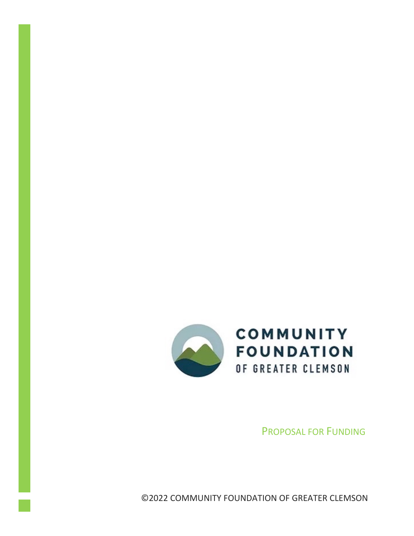

PROPOSAL FOR FUNDING

©2022 COMMUNITY FOUNDATION OF GREATER CLEMSON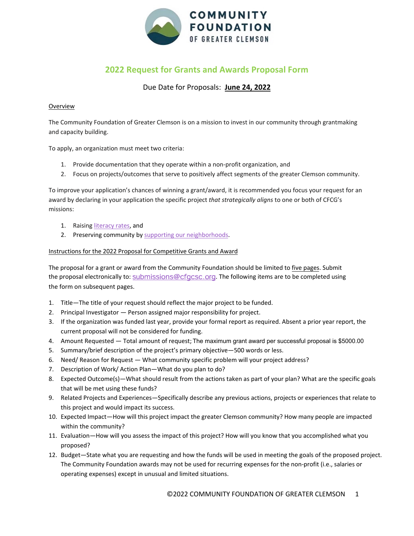

## **2022 Request for Grants and Awards Proposal Form**

## Due Date for Proposals: **June 24, 2022**

## Overview

The Community Foundation of Greater Clemson is on a mission to invest in our community through grantmaking and capacity building.

To apply, an organization must meet two criteria:

- 1. Provide documentation that they operate within a non-profit organization, and
- 2. Focus on projects/outcomes that serve to positively affect segments of the greater Clemson community.

To improve your application's chances of winning a grant/award, it is recommended you focus your request for an award by declaring in your application the specific project *that strategically aligns* to one or both of CFCG's missions:

- 1. Raising literacy rates, and
- 2. Preserving community by supporting our neighborhoods.

## Instructions for the 2022 Proposal for Competitive Grants and Award

The proposal for a grant or award from the Community Foundation should be limited to five pages. Submit the proposal electronically to: submissions@cfgcsc.org. The following items are to be completed using the form on subsequent pages.

- 1. Title—The title of your request should reflect the major project to be funded.
- 2. Principal Investigator Person assigned major responsibility for project.
- 3. If the organization was funded last year, provide your formal report as required. Absent a prior year report, the current proposal will not be considered for funding.
- 4. Amount Requested Total amount of request; The maximum grant award per successful proposal is \$5000.00
- 5. Summary/brief description of the project's primary objective—500 words or less.
- 6. Need/ Reason for Request What community specific problem will your project address?
- 7. Description of Work/ Action Plan—What do you plan to do?
- 8. Expected Outcome(s)—What should result from the actions taken as part of your plan? What are the specific goals that will be met using these funds?
- 9. Related Projects and Experiences—Specifically describe any previous actions, projects or experiences that relate to this project and would impact its success.
- 10. Expected Impact—How will this project impact the greater Clemson community? How many people are impacted within the community?
- 11. Evaluation—How will you assess the impact of this project? How will you know that you accomplished what you proposed?
- 12. Budget—State what you are requesting and how the funds will be used in meeting the goals of the proposed project. The Community Foundation awards may not be used for recurring expenses for the non-profit (i.e., salaries or operating expenses) except in unusual and limited situations.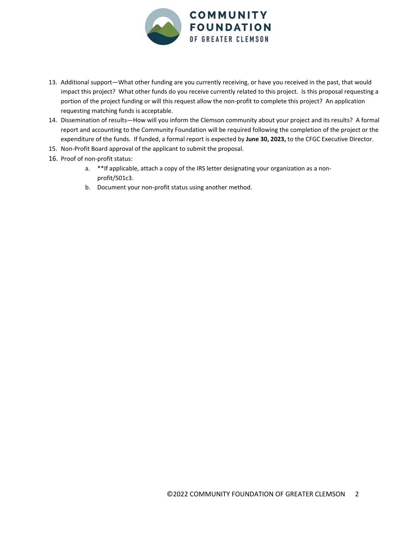

- 13. Additional support—What other funding are you currently receiving, or have you received in the past, that would impact this project? What other funds do you receive currently related to this project. Is this proposal requesting a portion of the project funding or will this request allow the non-profit to complete this project? An application requesting matching funds is acceptable.
- 14. Dissemination of results—How will you inform the Clemson community about your project and its results? A formal report and accounting to the Community Foundation will be required following the completion of the project or the expenditure of the funds. If funded, a formal report is expected by **June 30, 2023,** to the CFGC Executive Director.
- 15. Non-Profit Board approval of the applicant to submit the proposal.
- 16. Proof of non-profit status:
	- a. \*\*If applicable, attach a copy of the IRS letter designating your organization as a nonprofit/501c3.
	- b. Document your non-profit status using another method.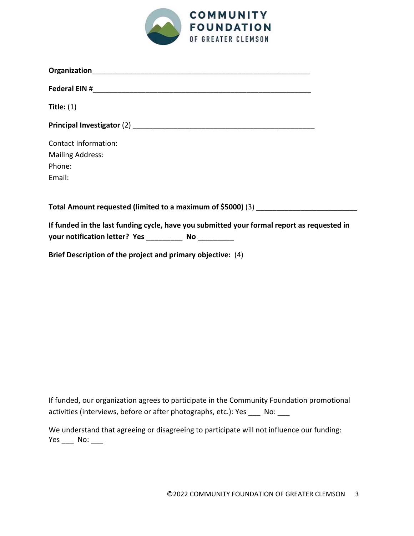

| Title: $(1)$                                                                               |  |
|--------------------------------------------------------------------------------------------|--|
|                                                                                            |  |
| <b>Contact Information:</b>                                                                |  |
| <b>Mailing Address:</b>                                                                    |  |
| Phone:                                                                                     |  |
| Email:                                                                                     |  |
|                                                                                            |  |
| Total Amount requested (limited to a maximum of \$5000) (3)                                |  |
| If funded in the last funding cycle, have you submitted your formal report as requested in |  |

**Brief Description of the project and primary objective:** (4)

If funded, our organization agrees to participate in the Community Foundation promotional activities (interviews, before or after photographs, etc.): Yes \_\_\_ No: \_\_\_

We understand that agreeing or disagreeing to participate will not influence our funding: Yes \_\_\_\_ No: \_\_\_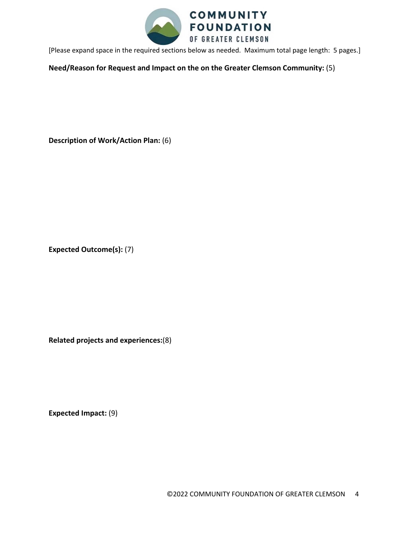

[Please expand space in the required sections below as needed. Maximum total page length: 5 pages.]

**Need/Reason for Request and Impact on the on the Greater Clemson Community:** (5)

**Description of Work/Action Plan:** (6)

**Expected Outcome(s):** (7)

**Related projects and experiences:**(8)

**Expected Impact:** (9)